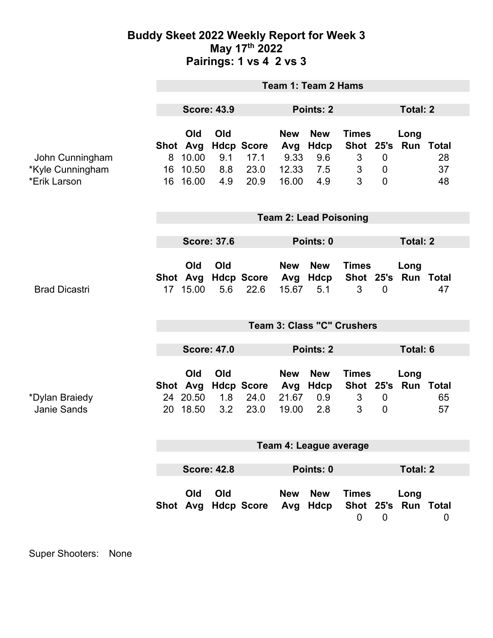## **Buddy Skeet 2022 Weekly Report for Week 3 May 17th 2022 Pairings: 1 vs 4 2 vs 3**

|                                                     | <b>Team 1: Team 2 Hams</b>      |                                         |                          |                                           |                                             |                                         |                                          |                                                 |                             |                 |  |
|-----------------------------------------------------|---------------------------------|-----------------------------------------|--------------------------|-------------------------------------------|---------------------------------------------|-----------------------------------------|------------------------------------------|-------------------------------------------------|-----------------------------|-----------------|--|
|                                                     | <b>Score: 43.9</b>              |                                         |                          |                                           | Points: 2                                   |                                         |                                          |                                                 | <b>Total: 2</b>             |                 |  |
| John Cunningham<br>*Kyle Cunningham<br>*Erik Larson | Shot Avg<br>8<br>16<br>16       | Old<br>10.00<br>10.50<br>16.00          | Old<br>9.1<br>8.8<br>4.9 | <b>Hdcp Score</b><br>17.1<br>23.0<br>20.9 | <b>New</b><br>Avg<br>9.33<br>12.33<br>16.00 | <b>New</b><br>Hdcp<br>9.6<br>7.5<br>4.9 | <b>Times</b><br>$\mathfrak{S}$<br>3<br>3 | $\mathbf 0$<br>$\overline{0}$<br>$\overline{0}$ | Long<br>Shot 25's Run Total | 28<br>37<br>48  |  |
|                                                     | <b>Team 2: Lead Poisoning</b>   |                                         |                          |                                           |                                             |                                         |                                          |                                                 |                             |                 |  |
|                                                     | <b>Score: 37.6</b>              |                                         |                          |                                           |                                             | Points: 0                               |                                          |                                                 |                             | <b>Total: 2</b> |  |
| <b>Brad Dicastri</b>                                |                                 | Old<br>17 15.00                         | Old<br>5.6               | Shot Avg Hdcp Score Avg<br>22.6           | <b>New</b><br>15.67                         | <b>New</b><br>Hdcp<br>5.1               | <b>Times</b><br>3                        | $\mathbf 0$                                     | Long<br>Shot 25's Run Total | 47              |  |
|                                                     | Team 3: Class "C" Crushers      |                                         |                          |                                           |                                             |                                         |                                          |                                                 |                             |                 |  |
|                                                     | <b>Score: 47.0</b>              |                                         |                          |                                           | Points: 2                                   |                                         |                                          | <b>Total: 6</b>                                 |                             |                 |  |
| *Dylan Braiedy<br><b>Janie Sands</b>                |                                 | Old<br>Shot Avg<br>24 20.50<br>20 18.50 | Old<br>1.8<br>3.2        | <b>Hdcp Score</b><br>24.0<br>23.0         | <b>New</b><br>Avg<br>21.67<br>19.00         | <b>New</b><br>Hdcp<br>0.9<br>2.8        | <b>Times</b><br>3<br>3                   | $\mathbf 0$<br>$\overline{0}$                   | Long<br>Shot 25's Run Total | 65<br>57        |  |
|                                                     | Team 4: League average          |                                         |                          |                                           |                                             |                                         |                                          |                                                 |                             |                 |  |
|                                                     | <b>Score: 42.8</b><br>Points: 0 |                                         |                          |                                           |                                             |                                         |                                          | <b>Total: 2</b>                                 |                             |                 |  |
|                                                     |                                 | Old                                     | Old                      | Shot Avg Hdcp Score                       | New<br>Avg                                  | <b>New</b><br>Hdcp                      | <b>Times</b><br>$\mathbf 0$              | $\overline{0}$                                  | Long<br>Shot 25's Run Total | 0               |  |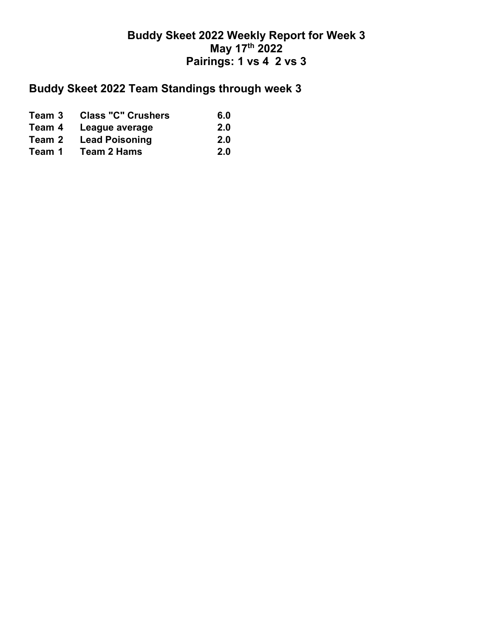## **Buddy Skeet 2022 Weekly Report for Week 3 May 17th 2022 Pairings: 1 vs 4 2 vs 3**

## **Buddy Skeet 2022 Team Standings through week 3**

| Team 3 | <b>Class "C" Crushers</b> | 6.0 |
|--------|---------------------------|-----|
| Team 4 | League average            | 2.0 |
| Team 2 | <b>Lead Poisoning</b>     | 2.0 |
| Team 1 | <b>Team 2 Hams</b>        | 2.0 |